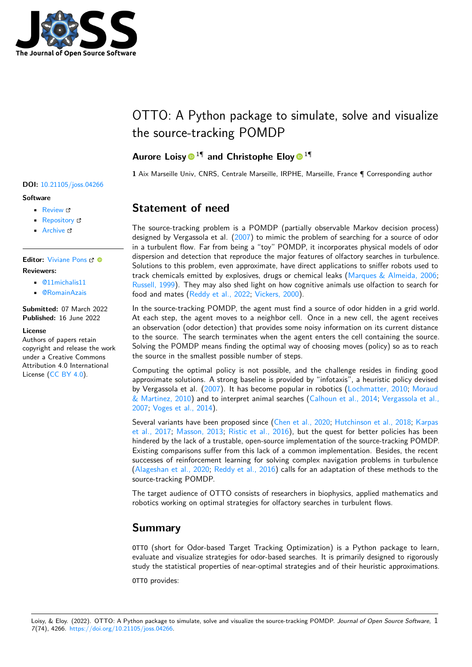

# OTTO: A Python package to simulate, solve and visualize the source-tracking POMDP

## Aurore Loisy<sup>11</sup> and Christophe Eloy<sup>11</sup>

**1** Aix Marseille Univ, CNRS, Centrale Marseille, IRPHE, Marseille, France ¶ Corresponding author

# **Statement of need**

The source-tracking problem is a POMDP (partially observable Markov decision process) designed by Vergassola et al. [\(2007\)](#page-3-0) to mimic the problem of searching for a source of odor in a turbulent flow. Far from being a "toy" POMDP, it incorporates physical models of odor dispersion and detection that reproduce the major features of olfactory searches in turbulence. Solutions to this problem, even approximate, have direct applications to sniffer robots used to track chemicals emitted by explosives, drugs or chemical leaks [\(Marques & Almeida, 2006;](#page-2-0) [Russell, 1999\)](#page-2-1). They may also shed light on how cognitive animals use olfaction to search for food and mates [\(Reddy et al., 2022;](#page-2-2) [Vickers, 2000\)](#page-3-1).

In the source-tracking POMDP, the agent must find a source of odor hidden in a grid world. At each step, the agent moves to a neighbor cell. Once in a new cell, the agent receives an observation (odor detection) that provides some noisy information on its current distance to the source. The search terminates when the agent enters the cell containing the source. Solving the POMDP means finding the optimal way of choosing moves (policy) so as to reach the source in the smallest possible number of steps.

Computing the optimal policy is not possible, and the challenge resides in finding good approximate solutions. A strong baseline is provided by "infotaxis", a heuristic policy devised by Vergassola et al. [\(2007\)](#page-3-0). It has become popular in robotics [\(Lochmatter, 2010;](#page-2-3) [Moraud](#page-2-4) [& Martinez, 2010\)](#page-2-4) and to interpret animal searches [\(Calhoun et al., 2014;](#page-1-0) [Vergassola et al.,](#page-3-0) [2007;](#page-3-0) [Voges et al., 2014\)](#page-3-2).

Several variants have been proposed since [\(Chen et al., 2020;](#page-1-1) [Hutchinson et al., 2018;](#page-2-5) [Karpas](#page-2-6) [et al., 2017;](#page-2-6) [Masson, 2013;](#page-2-7) [Ristic et al., 2016\)](#page-2-8), but the quest for better policies has been hindered by the lack of a trustable, open-source implementation of the source-tracking POMDP. Existing comparisons suffer from this lack of a common implementation. Besides, the recent successes of reinforcement learning for solving complex navigation problems in turbulence [\(Alageshan et al., 2020;](#page-1-2) [Reddy et al., 2016\)](#page-2-9) calls for an adaptation of these methods to the source-tracking POMDP.

The target audience of OTTO consists of researchers in biophysics, applied mathematics and robotics working on optimal strategies for olfactory searches in turbulent flows.

## **Summary**

OTTO (short for Odor-based Target Tracking Optimization) is a Python package to learn, evaluate and visualize strategies for odor-based searches. It is primarily designed to rigorously study the statistical properties of near-optimal strategies and of their heuristic approximations.

OTTO provides:

#### **DOI:** [10.21105/joss.04266](https://doi.org/10.21105/joss.04266)

#### **Software**

- [Review](https://github.com/openjournals/joss-reviews/issues/4266) &
- [Repository](https://github.com/C0PEP0D/otto) &
- [Archive](https://doi.org/10.5281/zenodo.6651884) &

### **Editor:** [Viviane Pons](https://www.lri.fr/~pons/en/) **Reviewers:**

- [@11michalis11](https://github.com/11michalis11)
- [@RomainAzais](https://github.com/RomainAzais)

**Submitted:** 07 March 2022 **Published:** 16 June 2022

#### **License**

Authors of papers retain copyright and release the work under a Creative Commons Attribution 4.0 International License [\(CC BY 4.0\)](https://creativecommons.org/licenses/by/4.0/).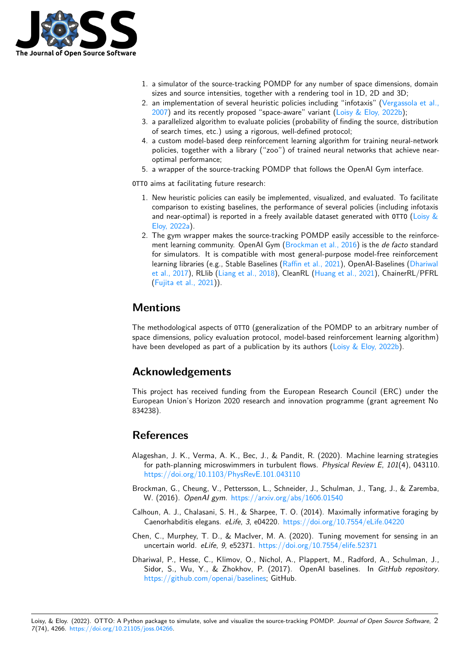

- 1. a simulator of the source-tracking POMDP for any number of space dimensions, domain sizes and source intensities, together with a rendering tool in 1D, 2D and 3D;
- 2. an implementation of several heuristic policies including "infotaxis" [\(Vergassola et al.,](#page-3-0) [2007\)](#page-3-0) and its recently proposed "space-aware" variant [\(Loisy & Eloy, 2022b\)](#page-2-10);
- 3. a parallelized algorithm to evaluate policies (probability of finding the source, distribution of search times, etc.) using a rigorous, well-defined protocol;
- 4. a custom model-based deep reinforcement learning algorithm for training neural-network policies, together with a library ("zoo") of trained neural networks that achieve nearoptimal performance;
- 5. a wrapper of the source-tracking POMDP that follows the OpenAI Gym interface.

OTTO aims at facilitating future research:

- 1. New heuristic policies can easily be implemented, visualized, and evaluated. To facilitate comparison to existing baselines, the performance of several policies (including infotaxis and near-optimal) is reported in a freely available dataset generated with OTTO (Loisy  $&$ [Eloy, 2022a\)](#page-2-11).
- 2. The gym wrapper makes the source-tracking POMDP easily accessible to the reinforce-ment learning community. OpenAI Gym [\(Brockman et al., 2016\)](#page-1-3) is the *de facto* standard for simulators. It is compatible with most general-purpose model-free reinforcement learning libraries (e.g., Stable Baselines [\(Raffin et al., 2021\)](#page-2-12), OpenAI-Baselines [\(Dhariwal](#page-1-4) [et al., 2017\)](#page-1-4), RLlib [\(Liang et al., 2018\)](#page-2-13), CleanRL [\(Huang et al., 2021\)](#page-2-14), ChainerRL/PFRL [\(Fujita et al., 2021\)](#page-2-15)).

## **Mentions**

The methodological aspects of OTTO (generalization of the POMDP to an arbitrary number of space dimensions, policy evaluation protocol, model-based reinforcement learning algorithm) have been developed as part of a publication by its authors [\(Loisy & Eloy, 2022b\)](#page-2-10).

## **Acknowledgements**

This project has received funding from the European Research Council (ERC) under the European Union's Horizon 2020 research and innovation programme (grant agreement No 834238).

## **References**

- <span id="page-1-2"></span>Alageshan, J. K., Verma, A. K., Bec, J., & Pandit, R. (2020). Machine learning strategies for path-planning microswimmers in turbulent flows. Physical Review E, 101(4), 043110. <https://doi.org/10.1103/PhysRevE.101.043110>
- <span id="page-1-3"></span>Brockman, G., Cheung, V., Pettersson, L., Schneider, J., Schulman, J., Tang, J., & Zaremba, W. (2016). OpenAI gym. <https://arxiv.org/abs/1606.01540>
- <span id="page-1-0"></span>Calhoun, A. J., Chalasani, S. H., & Sharpee, T. O. (2014). Maximally informative foraging by Caenorhabditis elegans. eLife, 3, e04220. <https://doi.org/10.7554/eLife.04220>
- <span id="page-1-1"></span>Chen, C., Murphey, T. D., & MacIver, M. A. (2020). Tuning movement for sensing in an uncertain world. eLife, 9, e52371. <https://doi.org/10.7554/elife.52371>
- <span id="page-1-4"></span>Dhariwal, P., Hesse, C., Klimov, O., Nichol, A., Plappert, M., Radford, A., Schulman, J., Sidor, S., Wu, Y., & Zhokhov, P. (2017). OpenAI baselines. In GitHub repository. [https://github.com/openai/baselines;](https://github.com/openai/baselines) GitHub.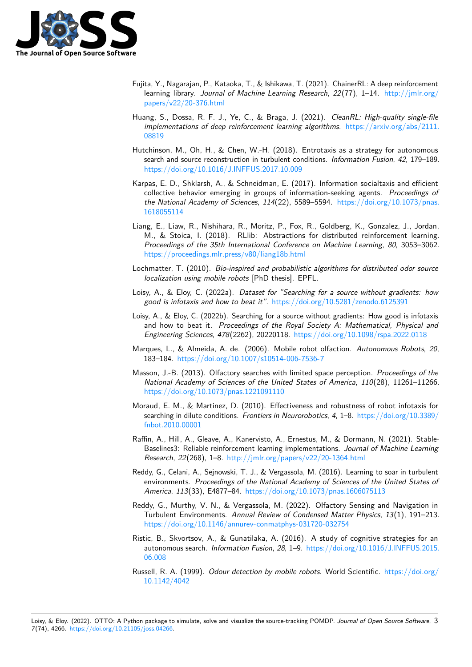

- <span id="page-2-15"></span>Fujita, Y., Nagarajan, P., Kataoka, T., & Ishikawa, T. (2021). ChainerRL: A deep reinforcement learning library. Journal of Machine Learning Research,  $22(77)$ , 1–14. [http://jmlr.org/](http://jmlr.org/papers/v22/20-376.html) [papers/v22/20-376.html](http://jmlr.org/papers/v22/20-376.html)
- <span id="page-2-14"></span>Huang, S., Dossa, R. F. J., Ye, C., & Braga, J. (2021). CleanRL: High-quality single-file implementations of deep reinforcement learning algorithms. [https://arxiv.org/abs/2111.](https://arxiv.org/abs/2111.08819) [08819](https://arxiv.org/abs/2111.08819)
- <span id="page-2-5"></span>Hutchinson, M., Oh, H., & Chen, W.-H. (2018). Entrotaxis as a strategy for autonomous search and source reconstruction in turbulent conditions. Information Fusion, 42, 179–189. <https://doi.org/10.1016/J.INFFUS.2017.10.009>
- <span id="page-2-6"></span>Karpas, E. D., Shklarsh, A., & Schneidman, E. (2017). Information socialtaxis and efficient collective behavior emerging in groups of information-seeking agents. Proceedings of the National Academy of Sciences, 114(22), 5589–5594. [https://doi.org/10.1073/pnas.](https://doi.org/10.1073/pnas.1618055114) [1618055114](https://doi.org/10.1073/pnas.1618055114)
- <span id="page-2-13"></span>Liang, E., Liaw, R., Nishihara, R., Moritz, P., Fox, R., Goldberg, K., Gonzalez, J., Jordan, M., & Stoica, I. (2018). RLlib: Abstractions for distributed reinforcement learning. Proceedings of the 35th International Conference on Machine Learning, 80, 3053–3062. <https://proceedings.mlr.press/v80/liang18b.html>
- <span id="page-2-3"></span>Lochmatter, T. (2010). Bio-inspired and probabilistic algorithms for distributed odor source localization using mobile robots [PhD thesis]. EPFL.
- <span id="page-2-11"></span>Loisy, A., & Eloy, C. (2022a). Dataset for "Searching for a source without gradients: how good is infotaxis and how to beat it". <https://doi.org/10.5281/zenodo.6125391>
- <span id="page-2-10"></span>Loisy, A., & Eloy, C. (2022b). Searching for a source without gradients: How good is infotaxis and how to beat it. Proceedings of the Royal Society A: Mathematical, Physical and Engineering Sciences, 478(2262), 20220118. <https://doi.org/10.1098/rspa.2022.0118>
- <span id="page-2-0"></span>Marques, L., & Almeida, A. de. (2006). Mobile robot olfaction. Autonomous Robots, 20, 183–184. <https://doi.org/10.1007/s10514-006-7536-7>
- <span id="page-2-7"></span>Masson, J.-B. (2013). Olfactory searches with limited space perception. Proceedings of the National Academy of Sciences of the United States of America, 110(28), 11261–11266. <https://doi.org/10.1073/pnas.1221091110>
- <span id="page-2-4"></span>Moraud, E. M., & Martinez, D. (2010). Effectiveness and robustness of robot infotaxis for searching in dilute conditions. Frontiers in Neurorobotics, 4, 1–8. [https://doi.org/10.3389/](https://doi.org/10.3389/fnbot.2010.00001) [fnbot.2010.00001](https://doi.org/10.3389/fnbot.2010.00001)
- <span id="page-2-12"></span>Raffin, A., Hill, A., Gleave, A., Kanervisto, A., Ernestus, M., & Dormann, N. (2021). Stable-Baselines3: Reliable reinforcement learning implementations. Journal of Machine Learning Research, 22(268), 1–8. <http://jmlr.org/papers/v22/20-1364.html>
- <span id="page-2-9"></span>Reddy, G., Celani, A., Sejnowski, T. J., & Vergassola, M. (2016). Learning to soar in turbulent environments. Proceedings of the National Academy of Sciences of the United States of America, 113(33), E4877–84. <https://doi.org/10.1073/pnas.1606075113>
- <span id="page-2-2"></span>Reddy, G., Murthy, V. N., & Vergassola, M. (2022). Olfactory Sensing and Navigation in Turbulent Environments. Annual Review of Condensed Matter Physics, 13(1), 191–213. <https://doi.org/10.1146/annurev-conmatphys-031720-032754>
- <span id="page-2-8"></span>Ristic, B., Skvortsov, A., & Gunatilaka, A. (2016). A study of cognitive strategies for an autonomous search. Information Fusion, 28, 1–9. [https://doi.org/10.1016/J.INFFUS.2015.](https://doi.org/10.1016/J.INFFUS.2015.06.008) [06.008](https://doi.org/10.1016/J.INFFUS.2015.06.008)
- <span id="page-2-1"></span>Russell, R. A. (1999). Odour detection by mobile robots. World Scientific. [https://doi.org/](https://doi.org/10.1142/4042) [10.1142/4042](https://doi.org/10.1142/4042)